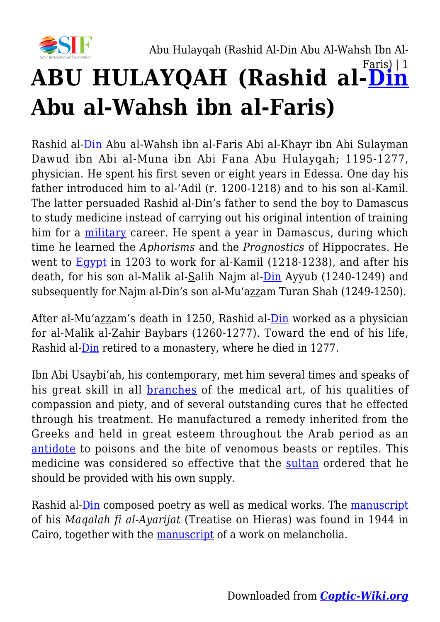

## Faris $)$  | 1 **ABU HULAYQAH (Rashid al-[Din](https://coptic-wiki.org/tag/din) Abu al-Wahsh ibn al-Faris)**

Rashid al-[Din](https://coptic-wiki.org/tag/din) Abu al-Wahsh ibn al-Faris Abi al-Khayr ibn Abi Sulayman Dawud ibn Abi al-Muna ibn Abi Fana Abu Hulayqah; 1195-1277, physician. He spent his first seven or eight years in Edessa. One day his father introduced him to al-'Adil (r. 1200-1218) and to his son al-Kamil. The latter persuaded Rashid al-Din's father to send the boy to Damascus to study medicine instead of carrying out his original intention of training him for a [military](https://coptic-wiki.org/tag/military) career. He spent a year in Damascus, during which time he learned the *Aphorisms* and the *Prognostics* of Hippocrates. He went to [Egypt](https://coptic-wiki.org/tag/egypt) in 1203 to work for al-Kamil (1218-1238), and after his death, for his son al-Malik al-Salih Najm al[-Din](https://coptic-wiki.org/tag/din) Ayyub (1240-1249) and subsequently for Najm al-Din's son al-Mu'azzam Turan Shah (1249-1250).

After al-Mu'azzam's death in 1250, Rashid al[-Din](https://coptic-wiki.org/tag/din) worked as a physician for al-Malik al-Zahir Baybars (1260-1277). Toward the end of his life, Rashid al[-Din](https://coptic-wiki.org/tag/din) retired to a monastery, where he died in 1277.

Ibn Abi Usaybi'ah, his contemporary, met him several times and speaks of his great skill in all **[branches](https://coptic-wiki.org/tag/branches)** of the medical art, of his qualities of compassion and piety, and of several outstanding cures that he effected through his treatment. He manufactured a remedy inherited from the Greeks and held in great esteem throughout the Arab period as an [antidote](https://coptic-wiki.org/tag/antidote) to poisons and the bite of venomous beasts or reptiles. This medicine was considered so effective that the [sultan](https://coptic-wiki.org/tag/sultan) ordered that he should be provided with his own supply.

Rashid al[-Din](https://coptic-wiki.org/tag/din) composed poetry as well as medical works. The [manuscript](https://coptic-wiki.org/tag/manuscript) of his *Maqalah fi al-Ayarijat* (Treatise on Hieras) was found in 1944 in Cairo, together with the [manuscript](https://coptic-wiki.org/tag/manuscript) of a work on melancholia.